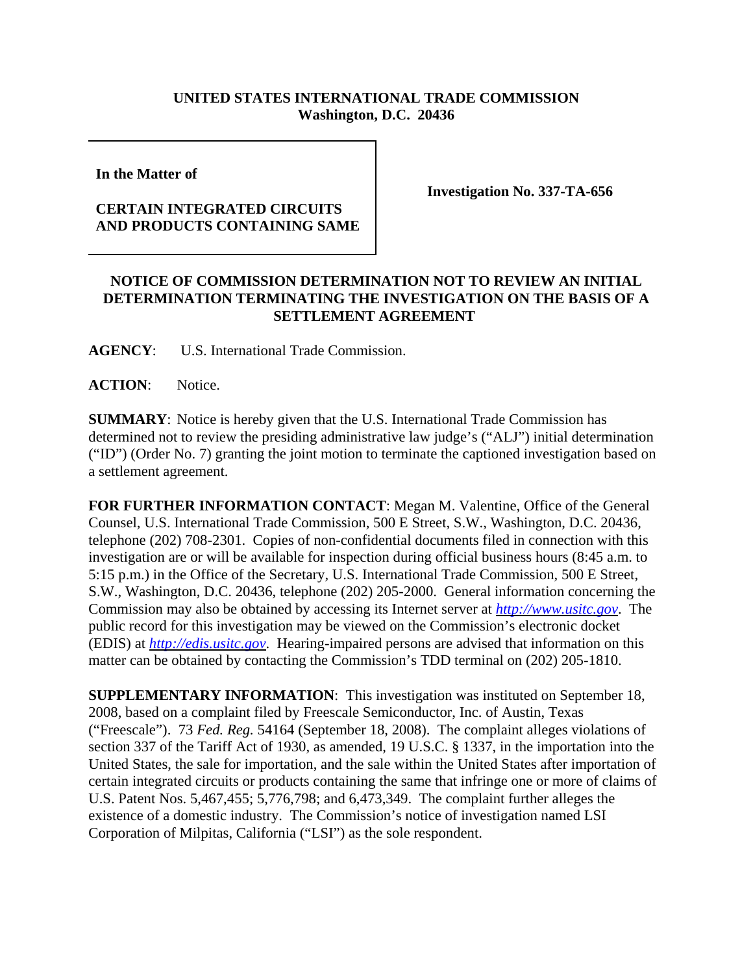## **UNITED STATES INTERNATIONAL TRADE COMMISSION Washington, D.C. 20436**

**In the Matter of** 

## **CERTAIN INTEGRATED CIRCUITS AND PRODUCTS CONTAINING SAME**

**Investigation No. 337-TA-656**

## **NOTICE OF COMMISSION DETERMINATION NOT TO REVIEW AN INITIAL DETERMINATION TERMINATING THE INVESTIGATION ON THE BASIS OF A SETTLEMENT AGREEMENT**

**AGENCY**: U.S. International Trade Commission.

ACTION: Notice.

**SUMMARY**: Notice is hereby given that the U.S. International Trade Commission has determined not to review the presiding administrative law judge's ("ALJ") initial determination ("ID") (Order No. 7) granting the joint motion to terminate the captioned investigation based on a settlement agreement.

**FOR FURTHER INFORMATION CONTACT**: Megan M. Valentine, Office of the General Counsel, U.S. International Trade Commission, 500 E Street, S.W., Washington, D.C. 20436, telephone (202) 708-2301. Copies of non-confidential documents filed in connection with this investigation are or will be available for inspection during official business hours (8:45 a.m. to 5:15 p.m.) in the Office of the Secretary, U.S. International Trade Commission, 500 E Street, S.W., Washington, D.C. 20436, telephone (202) 205-2000. General information concerning the Commission may also be obtained by accessing its Internet server at *http://www.usitc.gov*. The public record for this investigation may be viewed on the Commission's electronic docket (EDIS) at *http://edis.usitc.gov*. Hearing-impaired persons are advised that information on this matter can be obtained by contacting the Commission's TDD terminal on (202) 205-1810.

**SUPPLEMENTARY INFORMATION**: This investigation was instituted on September 18, 2008, based on a complaint filed by Freescale Semiconductor, Inc. of Austin, Texas ("Freescale"). 73 *Fed. Reg.* 54164 (September 18, 2008). The complaint alleges violations of section 337 of the Tariff Act of 1930, as amended, 19 U.S.C. § 1337, in the importation into the United States, the sale for importation, and the sale within the United States after importation of certain integrated circuits or products containing the same that infringe one or more of claims of U.S. Patent Nos. 5,467,455; 5,776,798; and 6,473,349. The complaint further alleges the existence of a domestic industry. The Commission's notice of investigation named LSI Corporation of Milpitas, California ("LSI") as the sole respondent.